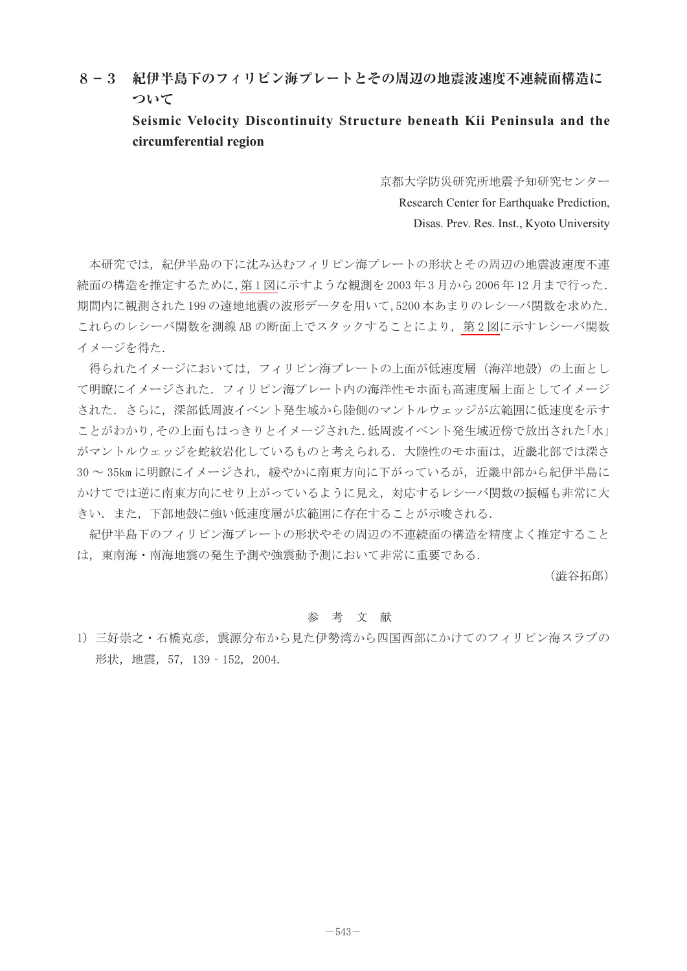## **8-3 紀伊半島下のフィリピン海プレートとその周辺の地震波速度不連続面構造に ついて**

**Seismic Velocity Discontinuity Structure beneath Kii Peninsula and the circumferential region**

> 京都大学防災研究所地震予知研究センター Research Center for Earthquake Prediction, Disas. Prev. Res. Inst., Kyoto University

本研究では,紀伊半島の下に沈み込むフィリピン海プレートの形状とその周辺の地震波速度不連 続面の構造を推定するために[,第 1 図に](#page-1-0)示すような観測を 2003 年 3 月から 2006 年 12 月まで行った. 期間内に観測された 199 の遠地地震の波形データを用いて,5200 本あまりのレシーバ関数を求めた. これらのレシーバ関数を測線 AB の断面上でスタックすることにより, 第2図に示すレシーバ関数 イメージを得た.

得られたイメージにおいては,フィリピン海プレートの上面が低速度層(海洋地殻)の上面とし て明瞭にイメージされた.フィリピン海プレート内の海洋性モホ面も高速度層上面としてイメージ された.さらに,深部低周波イベント発生域から陸側のマントルウェッジが広範囲に低速度を示す ことがわかり,その上面もはっきりとイメージされた.低周波イベント発生域近傍で放出された「水」 がマントルウェッジを蛇紋岩化しているものと考えられる.大陸性のモホ面は,近畿北部では深さ 30~35kmに明瞭にイメージされ、緩やかに南東方向に下がっているが、近畿中部から紀伊半島に かけてでは逆に南東方向にせり上がっているように見え,対応するレシーバ関数の振幅も非常に大 きい.また,下部地殻に強い低速度層が広範囲に存在することが示唆される.

紀伊半島下のフィリピン海プレートの形状やその周辺の不連続面の構造を精度よく推定すること は,東南海・南海地震の発生予測や強震動予測において非常に重要である.

(澁谷拓郎)

## 参 考 文 献

1) 三好崇之・石橋克彦,震源分布から見た伊勢湾から四国西部にかけてのフィリピン海スラブの 形状,地震,57, 139‐152, 2004.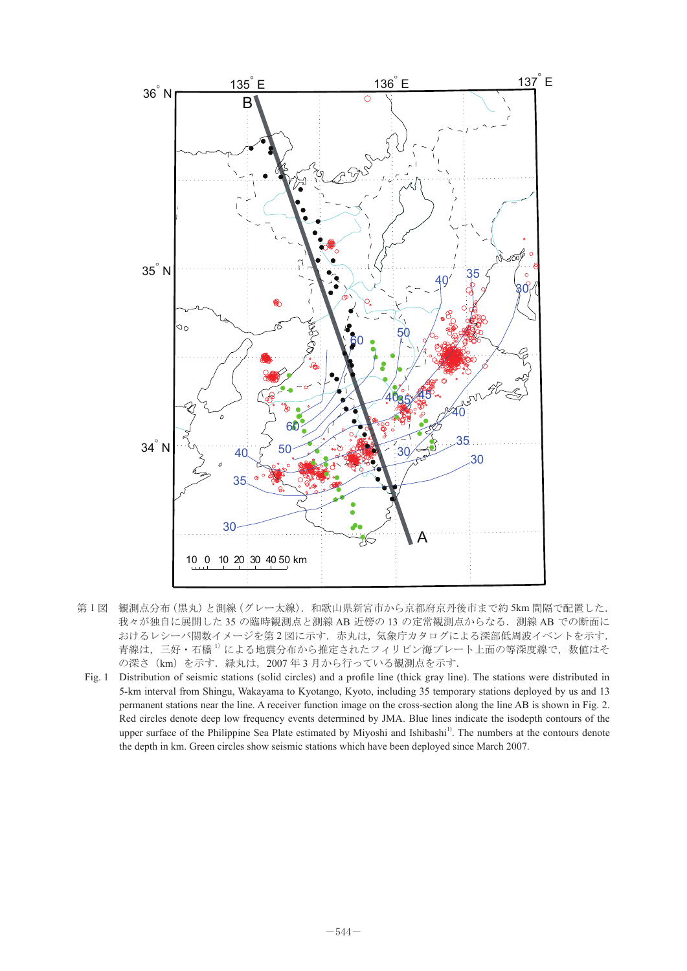<span id="page-1-0"></span>

- 第1図 観測点分布 (黒丸)と測線 (グレー太線). 和歌山県新宮市から京都府京丹後市まで約 5km 間隔で配置した. 我々が独自に展開した 35 の臨時観測点と測線 AB 近傍の 13 の定常観測点からなる.測線 AB での断面に ᷹ⷰὐಽᏓ㧔㤥ਣ㧕ߣ✢᷹㧔ࠣᄥ✢㧕㧚ጊ⋵ᣂችᏒࠄ߆੩ㇺᐭ੩ਤᓟᏒ߹ߢ ⚂MO おけるレシーバ関数イメージを第2図に示す. 赤丸は,気象庁カタログによる深部低周波イベントを示す. 青線は、三好・石橋<sup>1)</sup>による地震分布から推定されたフィリピン海プレート上面の等深度線で,数値はそ の深さ(km)を示す.緑丸は,2007 年 3 月から行っている観測点を示す. 殳᳇㧘ߪਣ⿒㧚ߔFSߦ࿑ ╙ ࠍࠫࡔࠗ㑐ᢙࡃࠪࠆߌ߅ߦᢿ㕙ߩߢ #\$ ✢᷹㧚ࠆߥࠄ߆ ╙ ࿑-
- Fig. 1 Distribution of seismic stations (solid circles) and a profile line (thick gray line). The stations were distributed in 5-km interval from Shingu, Wakayama to Kyotango, Kyoto, including 35 temporary stations deployed by us and 13 b-Kin interval from Simigu, wakayama to Kyotango, Kyoto, including 55 temporary stations deployed by us and 15<br>permanent stations near the line. A receiver function image on the cross-section along the line AB is shown in Red circles denote deep low frequency events determined by JMA. Blue lines indicate the isodepth contours of the upper surface of the Philippine Sea Plate estimated by Miyoshi and Ishibashi<sup>1)</sup>. The numbers at the contours denote the depth in km. Green circles show seismic stations which have been deployed since March 2007. NKPG- $\mathbf{r}$  and  $\mathbf{r}$